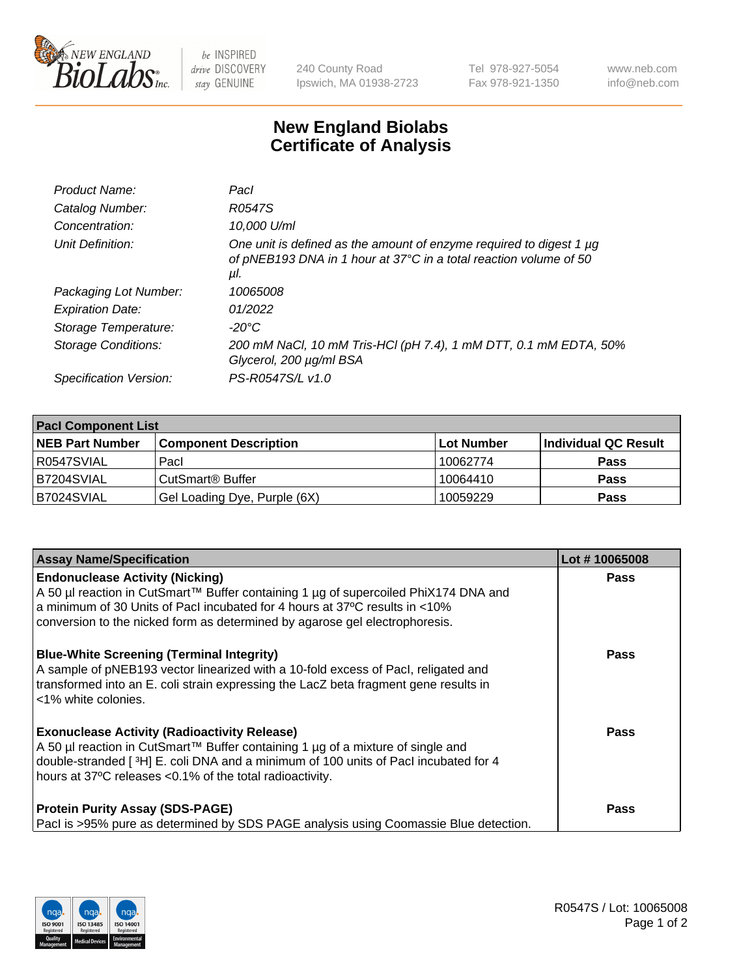

 $be$  INSPIRED drive DISCOVERY stay GENUINE

240 County Road Ipswich, MA 01938-2723 Tel 978-927-5054 Fax 978-921-1350 www.neb.com info@neb.com

## **New England Biolabs Certificate of Analysis**

| Product Name:           | Pacl                                                                                                                                            |
|-------------------------|-------------------------------------------------------------------------------------------------------------------------------------------------|
| Catalog Number:         | R0547S                                                                                                                                          |
| Concentration:          | 10,000 U/ml                                                                                                                                     |
| Unit Definition:        | One unit is defined as the amount of enzyme required to digest 1 µg<br>of pNEB193 DNA in 1 hour at 37°C in a total reaction volume of 50<br>μl. |
| Packaging Lot Number:   | 10065008                                                                                                                                        |
| <b>Expiration Date:</b> | 01/2022                                                                                                                                         |
| Storage Temperature:    | $-20^{\circ}$ C                                                                                                                                 |
| Storage Conditions:     | 200 mM NaCl, 10 mM Tris-HCl (pH 7.4), 1 mM DTT, 0.1 mM EDTA, 50%<br>Glycerol, 200 µg/ml BSA                                                     |
| Specification Version:  | PS-R0547S/L v1.0                                                                                                                                |

| <b>Pacl Component List</b> |                              |                   |                      |  |  |
|----------------------------|------------------------------|-------------------|----------------------|--|--|
| <b>NEB Part Number</b>     | <b>Component Description</b> | <b>Lot Number</b> | Individual QC Result |  |  |
| R0547SVIAL                 | Pacl                         | 10062774          | <b>Pass</b>          |  |  |
| B7204SVIAL                 | l CutSmart® Buffer           | 10064410          | <b>Pass</b>          |  |  |
| B7024SVIAL                 | Gel Loading Dye, Purple (6X) | 10059229          | <b>Pass</b>          |  |  |

| <b>Assay Name/Specification</b>                                                                                                                                                                                                                                                             | Lot #10065008 |
|---------------------------------------------------------------------------------------------------------------------------------------------------------------------------------------------------------------------------------------------------------------------------------------------|---------------|
| <b>Endonuclease Activity (Nicking)</b><br>A 50 µl reaction in CutSmart™ Buffer containing 1 µg of supercoiled PhiX174 DNA and<br>a minimum of 30 Units of Pacl incubated for 4 hours at 37°C results in <10%<br>conversion to the nicked form as determined by agarose gel electrophoresis. | <b>Pass</b>   |
| <b>Blue-White Screening (Terminal Integrity)</b><br>A sample of pNEB193 vector linearized with a 10-fold excess of Pacl, religated and<br>transformed into an E. coli strain expressing the LacZ beta fragment gene results in<br><1% white colonies.                                       | <b>Pass</b>   |
| <b>Exonuclease Activity (Radioactivity Release)</b><br>A 50 µl reaction in CutSmart™ Buffer containing 1 µg of a mixture of single and<br>double-stranded [3H] E. coli DNA and a minimum of 100 units of Pacl incubated for 4<br>hours at 37°C releases <0.1% of the total radioactivity.   | <b>Pass</b>   |
| <b>Protein Purity Assay (SDS-PAGE)</b><br>Pacl is >95% pure as determined by SDS PAGE analysis using Coomassie Blue detection.                                                                                                                                                              | <b>Pass</b>   |